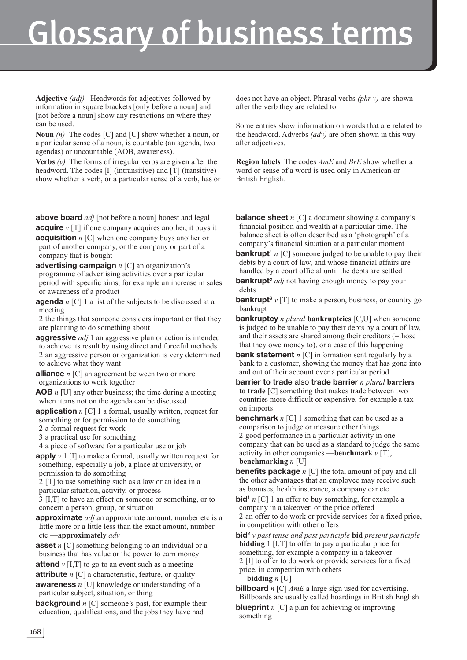## Glossary of business terms

**Adjective** *(adj)* Headwords for adjectives followed by information in square brackets [only before a noun] and [not before a noun] show any restrictions on where they can be used.

**Noun** *(n)* The codes [C] and [U] show whether a noun, or a particular sense of a noun, is countable (an agenda, two agendas) or uncountable (AOB, awareness).

**Verbs**  $(v)$  The forms of irregular verbs are given after the headword. The codes [I] (intransitive) and [T] (transitive) show whether a verb, or a particular sense of a verb, has or

**above board** *adj* [not before a noun] honest and legal **acquire**  $\nu$  [T] if one company acquires another, it buys it

- **acquisition** *n* [C] when one company buys another or part of another company, or the company or part of a company that is bought
- **advertising campaign** *n* [C] an organization's programme of advertising activities over a particular period with specific aims, for example an increase in sales or awareness of a product
- **agenda** *n* [C] 1 a list of the subjects to be discussed at a meeting

2 the things that someone considers important or that they are planning to do something about

- **aggressive** *adj* 1 an aggressive plan or action is intended to achieve its result by using direct and forceful methods 2 an aggressive person or organization is very determined to achieve what they want
- **alliance** *n* [C] an agreement between two or more organizations to work together

**AOB** *n* [U] any other business; the time during a meeting when items not on the agenda can be discussed

- **application** *n* [C] 1 a formal, usually written, request for something or for permission to do something
- 2 a formal request for work

3 a practical use for something

4 a piece of software for a particular use or job

**apply**  $\nu$  1 [I] to make a formal, usually written request for something, especially a job, a place at university, or permission to do something

2 [T] to use something such as a law or an idea in a particular situation, activity, or process

3 [I,T] to have an effect on someone or something, or to concern a person, group, or situation

**approximate** *adj* an approximate amount, number etc is a little more or a little less than the exact amount, number etc —**approximately** *adv*

**asset** *n* [C] something belonging to an individual or a business that has value or the power to earn money

**attend**  $\nu$  [I,T] to go to an event such as a meeting

**attribute** *n* [C] a characteristic, feature, or quality

**awareness** *n* [U] knowledge or understanding of a particular subject, situation, or thing

**background** *n* [C] someone's past, for example their education, qualifications, and the jobs they have had

does not have an object. Phrasal verbs *(phr v)* are shown after the verb they are related to.

Some entries show information on words that are related to the headword. Adverbs *(adv)* are often shown in this way after adjectives.

**Region labels** The codes *AmE* and *BrE* show whether a word or sense of a word is used only in American or British English.

**balance sheet** *n* [C] a document showing a company's financial position and wealth at a particular time. The balance sheet is often described as a 'photograph' of a company's financial situation at a particular moment

**bankrupt<sup>1</sup>** *n* [C] someone judged to be unable to pay their debts by a court of law, and whose financial affairs are handled by a court official until the debts are settled

**bankrupt<sup>2</sup>** *adj* not having enough money to pay your debts

**bankrupt<sup>3</sup>**  $\nu$  [T] to make a person, business, or country go bankrupt

**bankruptcy** *n plural* **bankruptcies** [C,U] when someone is judged to be unable to pay their debts by a court of law, and their assets are shared among their creditors (=those that they owe money to), or a case of this happening

**bank statement** *n* [C] information sent regularly by a bank to a customer, showing the money that has gone into and out of their account over a particular period

**barrier to trade** also **trade barrier** *n plural* **barriers to trade** [C] something that makes trade between two countries more difficult or expensive, for example a tax on imports

**benchmark** *n* [C] 1 something that can be used as a comparison to judge or measure other things 2 good performance in a particular activity in one company that can be used as a standard to judge the same activity in other companies —**benchmark** *v* [T], **benchmarking** *n* [U]

**benefits package** *n* [C] the total amount of pay and all the other advantages that an employee may receive such as bonuses, health insurance, a company car etc

**bid<sup>1</sup>** *n* [C] 1 an offer to buy something, for example a company in a takeover, or the price offered 2 an offer to do work or provide services for a fixed price, in competition with other offers

**bid2** *v past tense and past participle* **bid** *present participle* **bidding** 1 [I,T] to offer to pay a particular price for something, for example a company in a takeover 2 [I] to offer to do work or provide services for a fixed price, in competition with others —**bidding** *n* [U]

**billboard** *n* [C] *AmE* a large sign used for advertising. Billboards are usually called hoardings in British English

**blueprint** *n* [C] a plan for achieving or improving something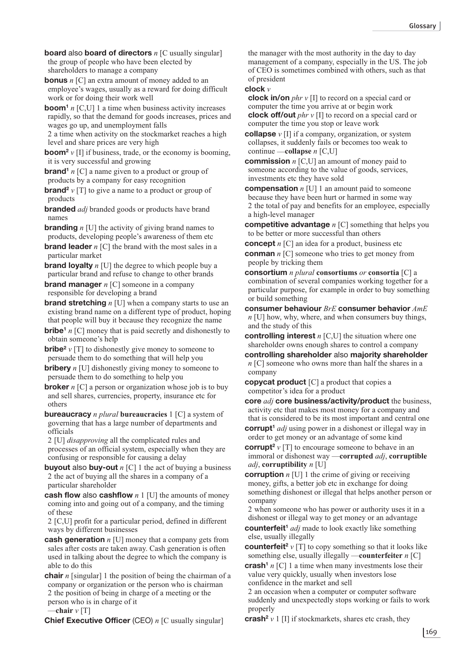**board** also **board of directors** *n* [C usually singular] the group of people who have been elected by shareholders to manage a company

**bonus** *n* [C] an extra amount of money added to an employee's wages, usually as a reward for doing difficult work or for doing their work well

**boom<sup>1</sup>** *n* [C,U] 1 a time when business activity increases rapidly, so that the demand for goods increases, prices and wages go up, and unemployment falls

2 a time when activity on the stockmarket reaches a high level and share prices are very high

**boom<sup>2</sup>**  $\nu$  [I] if business, trade, or the economy is booming, it is very successful and growing

**brand<sup>1</sup>** *n* [C] a name given to a product or group of products by a company for easy recognition

**brand**<sup>2</sup> *v* [T] to give a name to a product or group of products

**branded** *adj* branded goods or products have brand names

**branding** *n* [U] the activity of giving brand names to products, developing people's awareness of them etc

**brand leader** *n* [C] the brand with the most sales in a particular market

**brand loyalty** *n* [U] the degree to which people buy a particular brand and refuse to change to other brands

**brand manager** *n* [C] someone in a company responsible for developing a brand

**brand stretching** *n* [U] when a company starts to use an existing brand name on a different type of product, hoping that people will buy it because they recognize the name

**bribe<sup>1</sup>** *n* [C] money that is paid secretly and dishonestly to obtain someone's help

**bribe**<sup>2</sup>  $\nu$  [T] to dishonestly give money to someone to persuade them to do something that will help you

**bribery** *n* [U] dishonestly giving money to someone to persuade them to do something to help you

**broker** *n* [C] a person or organization whose job is to buy and sell shares, currencies, property, insurance etc for others

**bureaucracy** *n plural* **bureaucracies** 1 [C] a system of governing that has a large number of departments and officials

2 [U] *disapproving* all the complicated rules and processes of an official system, especially when they are confusing or responsible for causing a delay

**buyout** also **buy-out** *n* [C] 1 the act of buying a business 2 the act of buying all the shares in a company of a particular shareholder

**cash flow** also **cashflow** *n* 1 [U] the amounts of money coming into and going out of a company, and the timing of these

2 [C,U] profit for a particular period, defined in different ways by different businesses

**cash generation** *n* [U] money that a company gets from sales after costs are taken away. Cash generation is often used in talking about the degree to which the company is able to do this

**chair** *n* [singular] 1 the position of being the chairman of a company or organization or the person who is chairman 2 the position of being in charge of a meeting or the person who is in charge of it —**chair** *v* [T]

**Chief Executive Officer** (CEO) *n* [C usually singular]

the manager with the most authority in the day to day management of a company, especially in the US. The job of CEO is sometimes combined with others, such as that of president

**clock** *v*

**clock in/on** *phr v* [I] to record on a special card or computer the time you arrive at or begin work **clock off/out** *phr v* [I] to record on a special card or computer the time you stop or leave work

**collapse** *v* [I] if a company, organization, or system collapses, it suddenly fails or becomes too weak to continue —**collapse** *n* [C,U]

**commission** *n* [C,U] an amount of money paid to someone according to the value of goods, services, investments etc they have sold

**compensation** *n* [U] 1 an amount paid to someone because they have been hurt or harmed in some way 2 the total of pay and benefits for an employee, especially a high-level manager

**competitive advantage** *n* [C] something that helps you to be better or more successful than others

**concept** *n* [C] an idea for a product, business etc

**conman** *n* [C] someone who tries to get money from people by tricking them

**consortium** *n plural* **consortiums** *or* **consortia** [C] a combination of several companies working together for a particular purpose, for example in order to buy something or build something

**consumer behaviour** *BrE* **consumer behavior** *AmE n* [U] how, why, where, and when consumers buy things, and the study of this

**controlling interest** *n* [C,U] the situation where one shareholder owns enough shares to control a company

**controlling shareholder** also **majority shareholder** *n* [C] someone who owns more than half the shares in a company

**copycat product** [C] a product that copies a competitor's idea for a product

**core** *adj* **core business/activity/product** the business, activity etc that makes most money for a company and that is considered to be its most important and central one

**corrupt**<sup>1</sup> *adj* using power in a dishonest or illegal way in order to get money or an advantage of some kind

**corrupt<sup>2</sup>**  $\nu$  [T] to encourage someone to behave in an immoral or dishonest way —**corrupted** *adj*, **corruptible** *adj*, **corruptibility** *n* [U]

**corruption** *n* [U] 1 the crime of giving or receiving money, gifts, a better job etc in exchange for doing something dishonest or illegal that helps another person or company

2 when someone who has power or authority uses it in a dishonest or illegal way to get money or an advantage

**counterfeit**<sup>1</sup> *adj* made to look exactly like something else, usually illegally

**counterfeit<sup>2</sup>**  $\nu$  [T] to copy something so that it looks like something else, usually illegally —**counterfeiter** *n* [C]

**crash<sup>1</sup>** *n* [C] 1 a time when many investments lose their value very quickly, usually when investors lose confidence in the market and sell

2 an occasion when a computer or computer software suddenly and unexpectedly stops working or fails to work properly

**crash**<sup>2</sup>  $\nu$  1 [I] if stockmarkets, shares etc crash, they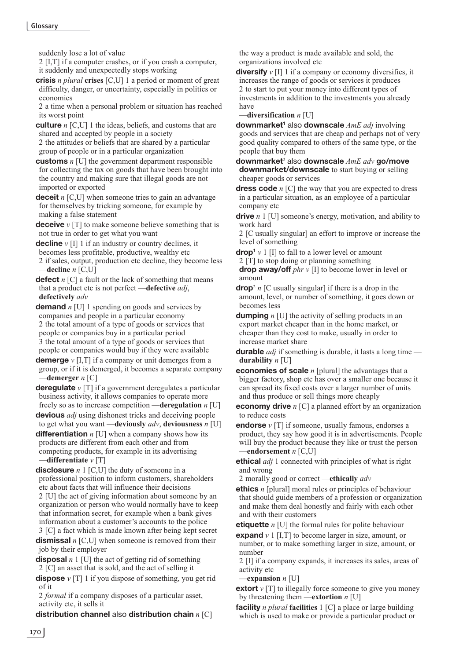suddenly lose a lot of value

2 [I,T] if a computer crashes, or if you crash a computer, it suddenly and unexpectedly stops working

**crisis** *n plural* **crises** [C,U] 1 a period or moment of great difficulty, danger, or uncertainty, especially in politics or economics

2 a time when a personal problem or situation has reached its worst point

**culture** *n* [C,U] 1 the ideas, beliefs, and customs that are shared and accepted by people in a society 2 the attitudes or beliefs that are shared by a particular group of people or in a particular organization

**customs** *n* [U] the government department responsible for collecting the tax on goods that have been brought into the country and making sure that illegal goods are not imported or exported

**deceit** *n* [C,U] when someone tries to gain an advantage for themselves by tricking someone, for example by making a false statement

**deceive**  $\nu$  [T] to make someone believe something that is not true in order to get what you want

**decline**  $v$  [I] 1 if an industry or country declines, it becomes less profitable, productive, wealthy etc

2 if sales, output, production etc decline, they become less —**decline** *n* [C,U]

**defect** *n* [C] a fault or the lack of something that means that a product etc is not perfect —**defective** *adj*, **defectively** *adv*

**demand** *n* [U] 1 spending on goods and services by companies and people in a particular economy 2 the total amount of a type of goods or services that people or companies buy in a particular period 3 the total amount of a type of goods or services that people or companies would buy if they were available

**demerge**  $\nu$  [I,T] if a company or unit demerges from a group, or if it is demerged, it becomes a separate company —**demerger** *n* [C]

**deregulate** *v* [T] if a government deregulates a particular business activity, it allows companies to operate more freely so as to increase competition —**deregulation** *n* [U]

**devious** *adj* using dishonest tricks and deceiving people to get what you want —**deviously** *adv*, **deviousness** *n* [U]

**differentiation** *n* [U] when a company shows how its products are different from each other and from competing products, for example in its advertising —**differentiate** *v* [T]

**disclosure** *n* 1 [C,U] the duty of someone in a professional position to inform customers, shareholders etc about facts that will influence their decisions

2 [U] the act of giving information about someone by an organization or person who would normally have to keep that information secret, for example when a bank gives information about a customer's accounts to the police

3 [C] a fact which is made known after being kept secret **dismissal** *n* [C,U] when someone is removed from their job by their employer

**disposal** *n* 1 [U] the act of getting rid of something 2 [C] an asset that is sold, and the act of selling it

**dispose** *v* [T] 1 if you dispose of something, you get rid of it

2 *formal* if a company disposes of a particular asset, activity etc, it sells it

**distribution channel** also **distribution chain** *n* [C]

the way a product is made available and sold, the organizations involved etc

**diversify**  $\nu$  [I] 1 if a company or economy diversifies, it increases the range of goods or services it produces 2 to start to put your money into different types of investments in addition to the investments you already have

—**diversification** *n* [U]

**downmarket1** also **downscale** *AmE adj* involving goods and services that are cheap and perhaps not of very good quality compared to others of the same type, or the people that buy them

**downmarket**<sup>2</sup> also **downscale** *AmE adv* **go/move downmarket/downscale** to start buying or selling cheaper goods or services

**dress code** *n* [C] the way that you are expected to dress in a particular situation, as an employee of a particular company etc

**drive** *n* 1 [U] someone's energy, motivation, and ability to work hard

2 [C usually singular] an effort to improve or increase the level of something

**drop<sup>1</sup>**  $\nu$  1 [I] to fall to a lower level or amount

2 [T] to stop doing or planning something

**drop away/off** *phr v* [I] to become lower in level or amount

**drop**<sup>2</sup> *n* [C usually singular] if there is a drop in the amount, level, or number of something, it goes down or becomes less

**dumping** *n* [U] the activity of selling products in an export market cheaper than in the home market, or cheaper than they cost to make, usually in order to increase market share

**durable** *adj* if something is durable, it lasts a long time – **durability** *n* [U]

**economies of scale** *n* [plural] the advantages that a bigger factory, shop etc has over a smaller one because it can spread its fixed costs over a larger number of units and thus produce or sell things more cheaply

**economy drive** *n* [C] a planned effort by an organization to reduce costs

**endorse** *v* [T] if someone, usually famous, endorses a product, they say how good it is in advertisements. People will buy the product because they like or trust the person —**endorsement** *n* [C,U]

**ethical** *adj* 1 connected with principles of what is right and wrong

2 morally good or correct —**ethically** *adv*

**ethics** *n* [plural] moral rules or principles of behaviour that should guide members of a profession or organization and make them deal honestly and fairly with each other and with their customers

**etiquette** *n* [U] the formal rules for polite behaviour

**expand** *v* 1 [I,T] to become larger in size, amount, or number, or to make something larger in size, amount, or number

2 [I] if a company expands, it increases its sales, areas of activity etc

—**expansion** *n* [U]

**extort**  $\nu$  [T] to illegally force someone to give you money by threatening them —**extortion** *n* [U]

**facility** *n plural* **facilities** 1 [C] a place or large building which is used to make or provide a particular product or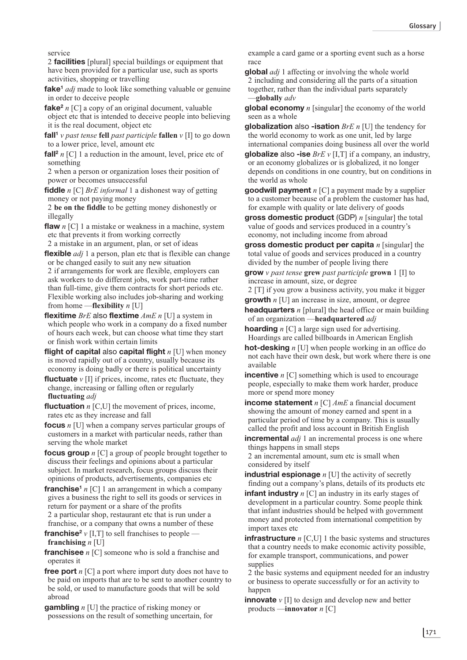service

2 **facilities** [plural] special buildings or equipment that have been provided for a particular use, such as sports activities, shopping or travelling

**fake1** *adj* made to look like something valuable or genuine in order to deceive people

- **fake<sup>2</sup>** *n* [C] a copy of an original document, valuable object etc that is intended to deceive people into believing it is the real document, object etc
- **fall1** *v past tense* **fell** *past participle* **fallen** *v* [I] to go down to a lower price, level, amount etc

**fall<sup>2</sup>** *n* [C] 1 a reduction in the amount, level, price etc of something

2 when a person or organization loses their position of power or becomes unsuccessful

**fiddle** *n* [C] *BrE informal* 1 a dishonest way of getting money or not paying money

2 **be on the fiddle** to be getting money dishonestly or illegally

**flaw** *n* [C] 1 a mistake or weakness in a machine, system etc that prevents it from working correctly

2 a mistake in an argument, plan, or set of ideas

**flexible** *adj* 1 a person, plan etc that is flexible can change or be changed easily to suit any new situation 2 if arrangements for work are flexible, employers can ask workers to do different jobs, work part-time rather than full-time, give them contracts for short periods etc. Flexible working also includes job-sharing and working

from home —**flexibility** *n* [U] **flexitime** *BrE* also **flextime** *AmE n* [U] a system in which people who work in a company do a fixed number of hours each week, but can choose what time they start

or finish work within certain limits **flight of capital** also **capital flight** *n* [U] when money

is moved rapidly out of a country, usually because its economy is doing badly or there is political uncertainty

**fluctuate**  $\nu$  [I] if prices, income, rates etc fluctuate, they change, increasing or falling often or regularly **fluctuating** *adj*

**fluctuation** *n* [C,U] the movement of prices, income, rates etc as they increase and fall

**focus** *n* [U] when a company serves particular groups of customers in a market with particular needs, rather than serving the whole market

**focus group** *n* [C] a group of people brought together to discuss their feelings and opinions about a particular subject. In market research, focus groups discuss their opinions of products, advertisements, companies etc

**franchise<sup>1</sup>** *n* [C] 1 an arrangement in which a company gives a business the right to sell its goods or services in return for payment or a share of the profits

2 a particular shop, restaurant etc that is run under a franchise, or a company that owns a number of these

**franchise**<sup>2</sup>  $\nu$  [I,T] to sell franchises to people **franchising** *n* [U]

**franchisee** *n* [C] someone who is sold a franchise and operates it

**free port** *n* [C] a port where import duty does not have to be paid on imports that are to be sent to another country to be sold, or used to manufacture goods that will be sold abroad

**gambling** *n* [U] the practice of risking money or possessions on the result of something uncertain, for example a card game or a sporting event such as a horse race

**global** *adj* 1 affecting or involving the whole world 2 including and considering all the parts of a situation together, rather than the individual parts separately —**globally** *adv*

**global economy** *n* [singular] the economy of the world seen as a whole

**globalization** also **-isation** *BrE n* [U] the tendency for the world economy to work as one unit, led by large international companies doing business all over the world

**globalize** also **-ise** *BrE v* [I,T] if a company, an industry, or an economy globalizes or is globalized, it no longer depends on conditions in one country, but on conditions in the world as whole

**goodwill payment** *n* [C] a payment made by a supplier to a customer because of a problem the customer has had, for example with quality or late delivery of goods

**gross domestic product** (GDP) *n* [singular] the total value of goods and services produced in a country's economy, not including income from abroad

**gross domestic product per capita** *n* [singular] the total value of goods and services produced in a country divided by the number of people living there

**grow** *v past tense* **grew** *past participle* **grown** 1 [I] to increase in amount, size, or degree

2 [T] if you grow a business activity, you make it bigger **growth** *n* [U] an increase in size, amount, or degree

**headquarters** *n* [plural] the head office or main building of an organization —**headquartered** *adj*

**hoarding** *n* [C] a large sign used for advertising. Hoardings are called billboards in American English

**hot-desking** *n* [U] when people working in an office do not each have their own desk, but work where there is one available

**incentive** *n* [C] something which is used to encourage people, especially to make them work harder, produce more or spend more money

**income statement** *n* [C] *AmE* a financial document showing the amount of money earned and spent in a particular period of time by a company. This is usually called the profit and loss account in British English

**incremental** *adj* 1 an incremental process is one where things happens in small steps

2 an incremental amount, sum etc is small when considered by itself

**industrial espionage** *n* [U] the activity of secretly finding out a company's plans, details of its products etc

**infant industry** *n* [C] an industry in its early stages of development in a particular country. Some people think that infant industries should be helped with government money and protected from international competition by import taxes etc

**infrastructure** *n* [C,U] 1 the basic systems and structures that a country needs to make economic activity possible, for example transport, communications, and power supplies

2 the basic systems and equipment needed for an industry or business to operate successfully or for an activity to happen

**innovate**  $v$  [I] to design and develop new and better products —**innovator** *n* [C]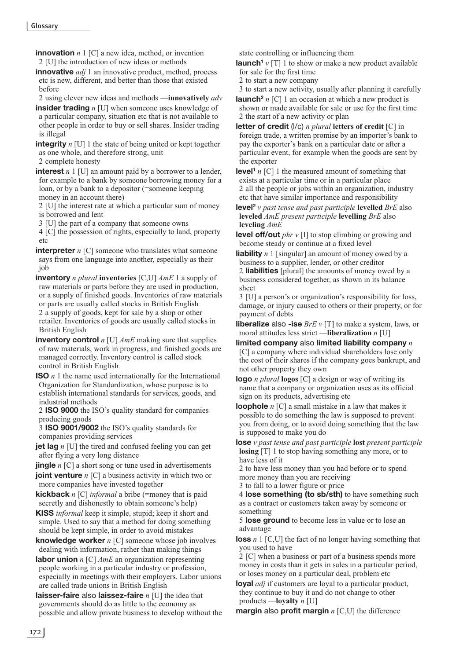**innovation** *n* 1 [C] a new idea, method, or invention 2 [U] the introduction of new ideas or methods

**innovative** *adj* 1 an innovative product, method, process etc is new, different, and better than those that existed before

2 using clever new ideas and methods —**innovatively** *adv*

**insider trading** *n* [U] when someone uses knowledge of a particular company, situation etc that is not available to other people in order to buy or sell shares. Insider trading is illegal

**integrity** *n* [U] 1 the state of being united or kept together as one whole, and therefore strong, unit

2 complete honesty

**interest** *n* 1 [U] an amount paid by a borrower to a lender, for example to a bank by someone borrowing money for a loan, or by a bank to a depositor (=someone keeping money in an account there)

2 [U] the interest rate at which a particular sum of money is borrowed and lent

3 [U] the part of a company that someone owns

4 [C] the possession of rights, especially to land, property etc

**interpreter** *n* [C] someone who translates what someone says from one language into another, especially as their job

**inventory** *n plural* **inventories** [C,U] *AmE* 1 a supply of raw materials or parts before they are used in production, or a supply of finished goods. Inventories of raw materials or parts are usually called stocks in British English 2 a supply of goods, kept for sale by a shop or other retailer. Inventories of goods are usually called stocks in British English

**inventory control** *n* [U] *AmE* making sure that supplies of raw materials, work in progress, and finished goods are managed correctly. Inventory control is called stock control in British English

**ISO** *n* 1 the name used internationally for the International Organization for Standardization, whose purpose is to establish international standards for services, goods, and industrial methods

2 **ISO 9000** the ISO's quality standard for companies producing goods

3 **ISO 9001/9002** the ISO's quality standards for companies providing services

**jet lag** *n* [U] the tired and confused feeling you can get after flying a very long distance

**jingle** *n* [C] a short song or tune used in advertisements

**joint venture** *n* [C] a business activity in which two or more companies have invested together

**kickback** *n* [C] *informal* a bribe (=money that is paid secretly and dishonestly to obtain someone's help)

**KISS** *informal* keep it simple, stupid; keep it short and simple. Used to say that a method for doing something should be kept simple, in order to avoid mistakes

**knowledge worker** *n* [C] someone whose job involves dealing with information, rather than making things

**labor union** *n* [C] *AmE* an organization representing people working in a particular industry or profession, especially in meetings with their employers. Labor unions are called trade unions in British English

**laisser-faire** also **laissez-faire** *n* [U] the idea that governments should do as little to the economy as possible and allow private business to develop without the state controlling or influencing them

**launch<sup>1</sup>**  $\nu$  [T] 1 to show or make a new product available for sale for the first time

2 to start a new company

3 to start a new activity, usually after planning it carefully

**launch<sup>2</sup>** *n* [C] 1 an occasion at which a new product is shown or made available for sale or use for the first time 2 the start of a new activity or plan

**letter of credit** (l/c) *n plural* **letters of credit** [C] in foreign trade, a written promise by an importer's bank to pay the exporter's bank on a particular date or after a particular event, for example when the goods are sent by the exporter

**level<sup>1</sup>** *n* [C] 1 the measured amount of something that exists at a particular time or in a particular place 2 all the people or jobs within an organization, industry etc that have similar importance and responsibility

**level2** *v past tense and past participle* **levelled** *BrE* also **leveled** *AmE present participle* **levelling** *BrE* also **leveling** *AmE*

**level off/out** *phr v* [I] to stop climbing or growing and become steady or continue at a fixed level

**liability** *n* 1 [singular] an amount of money owed by a business to a supplier, lender, or other creditor 2 **liabilities** [plural] the amounts of money owed by a business considered together, as shown in its balance sheet

3 [U] a person's or organization's responsibility for loss, damage, or injury caused to others or their property, or for payment of debts

**liberalize** also **-ise** *BrE v* [T] to make a system, laws, or moral attitudes less strict —**liberalization** *n* [U]

**limited company** also **limited liability company** *n* [C] a company where individual shareholders lose only the cost of their shares if the company goes bankrupt, and not other property they own

**logo** *n plural* **logos** [C] a design or way of writing its name that a company or organization uses as its official sign on its products, advertising etc

**loophole** *n* [C] a small mistake in a law that makes it possible to do something the law is supposed to prevent you from doing, or to avoid doing something that the law is supposed to make you do

**lose** *v past tense and past participle* **lost** *present participle* **losing** [T] 1 to stop having something any more, or to have less of it

2 to have less money than you had before or to spend more money than you are receiving

3 to fall to a lower figure or price

4 **lose something (to sb/sth)** to have something such as a contract or customers taken away by someone or something

5 **lose ground** to become less in value or to lose an advantage

**loss** *n* 1 [C,U] the fact of no longer having something that you used to have

2 [C] when a business or part of a business spends more money in costs than it gets in sales in a particular period, or loses money on a particular deal, problem etc

**loyal** *adj* if customers are loyal to a particular product, they continue to buy it and do not change to other products —**loyalty** *n* [U]

**margin** also **profit margin** *n* [C,U] the difference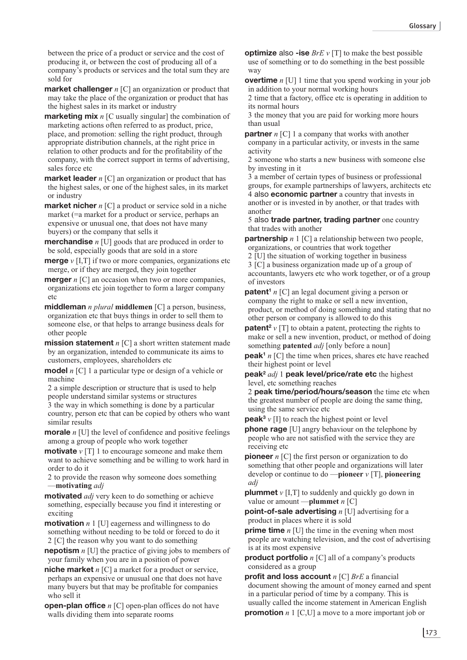between the price of a product or service and the cost of producing it, or between the cost of producing all of a company's products or services and the total sum they are sold for

**market challenger** *n* [C] an organization or product that may take the place of the organization or product that has the highest sales in its market or industry

**marketing mix** *n* [C usually singular] the combination of marketing actions often referred to as product, price, place, and promotion: selling the right product, through appropriate distribution channels, at the right price in relation to other products and for the profitability of the company, with the correct support in terms of advertising, sales force etc

**market leader** *n* [C] an organization or product that has the highest sales, or one of the highest sales, in its market or industry

**market nicher** *n* [C] a product or service sold in a niche market (=a market for a product or service, perhaps an expensive or unusual one, that does not have many buyers) or the company that sells it

**merchandise** *n* [U] goods that are produced in order to be sold, especially goods that are sold in a store

**merge** *v* [I,T] if two or more companies, organizations etc merge, or if they are merged, they join together

**merger** *n* [C] an occasion when two or more companies, organizations etc join together to form a larger company etc

**middleman** *n plural* **middlemen** [C] a person, business, organization etc that buys things in order to sell them to someone else, or that helps to arrange business deals for other people

**mission statement** *n* [C] a short written statement made by an organization, intended to communicate its aims to customers, employees, shareholders etc

**model** *n* [C] 1 a particular type or design of a vehicle or machine

2 a simple description or structure that is used to help people understand similar systems or structures

3 the way in which something is done by a particular country, person etc that can be copied by others who want similar results

**morale** *n* [U] the level of confidence and positive feelings among a group of people who work together

**motivate** *v* [T] 1 to encourage someone and make them want to achieve something and be willing to work hard in order to do it

2 to provide the reason why someone does something —**motivating** *adj*

**motivated** *adj* very keen to do something or achieve something, especially because you find it interesting or exciting

**motivation** *n* 1 [U] eagerness and willingness to do something without needing to be told or forced to do it 2 [C] the reason why you want to do something

**nepotism** *n* [U] the practice of giving jobs to members of your family when you are in a position of power

**niche market** *n* [C] a market for a product or service, perhaps an expensive or unusual one that does not have many buyers but that may be profitable for companies who sell it

**open-plan office** *n* [C] open-plan offices do not have walls dividing them into separate rooms

**optimize** also **-ise** *BrE v* [T] to make the best possible use of something or to do something in the best possible way

**overtime** *n* [U] 1 time that you spend working in your job in addition to your normal working hours

2 time that a factory, office etc is operating in addition to its normal hours

3 the money that you are paid for working more hours than usual

**partner** *n* [C] 1 a company that works with another company in a particular activity, or invests in the same activity

2 someone who starts a new business with someone else by investing in it

3 a member of certain types of business or professional groups, for example partnerships of lawyers, architects etc 4 also **economic partner** a country that invests in another or is invested in by another, or that trades with another

5 also **trade partner, trading partner** one country that trades with another

**partnership** *n* 1 [C] a relationship between two people, organizations, or countries that work together

2 [U] the situation of working together in business

3 [C] a business organization made up of a group of accountants, lawyers etc who work together, or of a group of investors

**patent<sup>1</sup>** *n* [C] an legal document giving a person or company the right to make or sell a new invention, product, or method of doing something and stating that no other person or company is allowed to do this

**patent<sup>2</sup>**  $\nu$  [T] to obtain a patent, protecting the rights to make or sell a new invention, product, or method of doing something **patented** *adj* [only before a noun]

**peak<sup>1</sup>** *n* [C] the time when prices, shares etc have reached their highest point or level

**peak2** *adj* 1 **peak level/price/rate etc** the highest level, etc something reaches

2 **peak time/period/hours/season** the time etc when the greatest number of people are doing the same thing, using the same service etc

**peak**<sup>3</sup>  $\nu$  [I] to reach the highest point or level

**phone rage** [U] angry behaviour on the telephone by people who are not satisfied with the service they are receiving etc

**pioneer** *n* [C] the first person or organization to do something that other people and organizations will later develop or continue to do —**pioneer** *v* [T], **pioneering** *adj*

**plummet**  $\nu$  [I,T] to suddenly and quickly go down in value or amount —**plummet** *n* [C]

**point-of-sale advertising** *n* [U] advertising for a product in places where it is sold

**prime time** *n* [U] the time in the evening when most people are watching television, and the cost of advertising is at its most expensive

**product portfolio** *n* [C] all of a company's products considered as a group

**profit and loss account** *n* [C] *BrE* a financial document showing the amount of money earned and spent in a particular period of time by a company. This is usually called the income statement in American English **promotion** *n* 1 [C,U] a move to a more important job or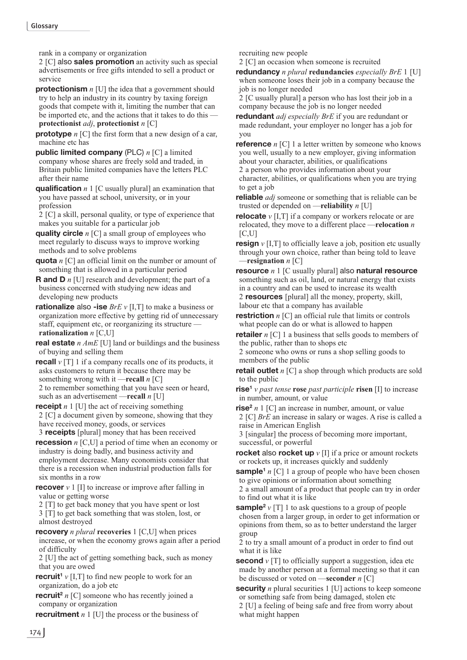rank in a company or organization

2 [C] also **sales promotion** an activity such as special advertisements or free gifts intended to sell a product or service

**protectionism** *n* [U] the idea that a government should try to help an industry in its country by taxing foreign goods that compete with it, limiting the number that can be imported etc, and the actions that it takes to do this **protectionist** *adj*, **protectionist** *n* [C]

**prototype** *n* [C] the first form that a new design of a car, machine etc has

**public limited company** (PLC) *n* [C] a limited company whose shares are freely sold and traded, in Britain public limited companies have the letters PLC after their name

**qualification** *n* 1 [C usually plural] an examination that you have passed at school, university, or in your profession

2 [C] a skill, personal quality, or type of experience that makes you suitable for a particular job

**quality circle** *n* [C] a small group of employees who meet regularly to discuss ways to improve working methods and to solve problems

**quota** *n* [C] an official limit on the number or amount of something that is allowed in a particular period

**R and D** *n* [U] research and development; the part of a business concerned with studying new ideas and developing new products

**rationalize** also **-ise** *BrE v* [I,T] to make a business or organization more effective by getting rid of unnecessary staff, equipment etc, or reorganizing its structure **rationalization** *n* [C,U]

**real estate** *n AmE* [U] land or buildings and the business of buying and selling them

**recall** *v* [T] 1 if a company recalls one of its products, it asks customers to return it because there may be something wrong with it —**recall** *n* [C] 2 to remember something that you have seen or heard, such as an advertisement —**recall** *n* [U]

**receipt** *n* 1 [U] the act of receiving something 2 [C] a document given by someone, showing that they

have received money, goods, or services 3 **receipts** [plural] money that has been received

**recession** *n* [C,U] a period of time when an economy or industry is doing badly, and business activity and employment decrease. Many economists consider that there is a recession when industrial production falls for six months in a row

**recover**  $v \perp [I]$  to increase or improve after falling in value or getting worse

2 [T] to get back money that you have spent or lost

3 [T] to get back something that was stolen, lost, or almost destroyed

**recovery** *n plural* **recoveries** 1 [C,U] when prices increase, or when the economy grows again after a period of difficulty

2 [U] the act of getting something back, such as money that you are owed

**recruit<sup>1</sup>**  $\nu$  [I,T] to find new people to work for an organization, do a job etc

**recruit<sup>2</sup>** *n* [C] someone who has recently joined a company or organization

**recruitment** *n* 1 [U] the process or the business of

recruiting new people

2 [C] an occasion when someone is recruited

**redundancy** *n plural* **redundancies** *especially BrE* 1 [U] when someone loses their job in a company because the job is no longer needed

2 [C usually plural] a person who has lost their job in a company because the job is no longer needed

**redundant** *adj especially BrE* if you are redundant or made redundant, your employer no longer has a job for you

**reference** *n* [C] 1 a letter written by someone who knows you well, usually to a new employer, giving information about your character, abilities, or qualifications 2 a person who provides information about your character, abilities, or qualifications when you are trying to get a job

**reliable** *adj* someone or something that is reliable can be trusted or depended on —**reliability** *n* [U]

**relocate**  $\nu$  [I,T] if a company or workers relocate or are relocated, they move to a different place —**relocation** *n*  $[C,U]$ 

**resign**  $v$  [I,T] to officially leave a job, position etc usually through your own choice, rather than being told to leave —**resignation** *n* [C]

**resource** *n* 1 [C usually plural] also **natural resource** something such as oil, land, or natural energy that exists in a country and can be used to increase its wealth 2 **resources** [plural] all the money, property, skill, labour etc that a company has available

**restriction** *n* [C] an official rule that limits or controls what people can do or what is allowed to happen

**retailer** *n* [C] 1 a business that sells goods to members of the public, rather than to shops etc

2 someone who owns or runs a shop selling goods to members of the public

**retail outlet** *n* [C] a shop through which products are sold to the public

**rise1** *v past tense* **rose** *past participle* **risen** [I] to increase in number, amount, or value

**rise**<sup>2</sup> *n* 1 [C] an increase in number, amount, or value 2 [C] *BrE* an increase in salary or wages. A rise is called a raise in American English

3 [singular] the process of becoming more important, successful, or powerful

**rocket** also **rocket up**  $\nu$  [I] if a price or amount rockets or rockets up, it increases quickly and suddenly

**sample<sup>1</sup>** *n* [C] 1 a group of people who have been chosen to give opinions or information about something

2 a small amount of a product that people can try in order to find out what it is like

**sample<sup>2</sup>**  $\nu$  [T] 1 to ask questions to a group of people chosen from a larger group, in order to get information or opinions from them, so as to better understand the larger group

2 to try a small amount of a product in order to find out what it is like

**second**  $v$  [T] to officially support a suggestion, idea etc made by another person at a formal meeting so that it can be discussed or voted on —**seconder** *n* [C]

**security** *n* plural securities 1 [U] actions to keep someone or something safe from being damaged, stolen etc

2 [U] a feeling of being safe and free from worry about what might happen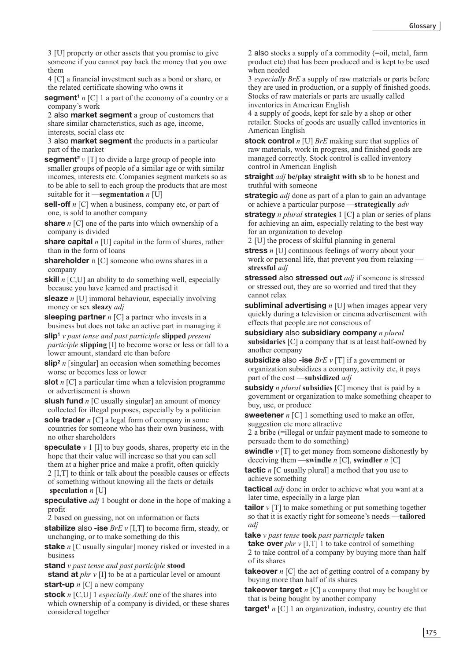3 [U] property or other assets that you promise to give someone if you cannot pay back the money that you owe them

4 [C] a financial investment such as a bond or share, or the related certificate showing who owns it

**segment<sup>1</sup>** *n* [C] 1 a part of the economy of a country or a company's work

2 also **market segment** a group of customers that share similar characteristics, such as age, income, interests, social class etc

3 also **market segment** the products in a particular part of the market

**segment**<sup>2</sup>  $\nu$  [T] to divide a large group of people into smaller groups of people of a similar age or with similar incomes, interests etc. Companies segment markets so as to be able to sell to each group the products that are most suitable for it —**segmentation** *n* [U]

**sell-off** *n* [C] when a business, company etc, or part of one, is sold to another company

**share** *n* [C] one of the parts into which ownership of a company is divided

**share capital** *n* [U] capital in the form of shares, rather than in the form of loans

**shareholder** n [C] someone who owns shares in a company

**skill** *n* [C,U] an ability to do something well, especially because you have learned and practised it

**sleaze** *n* [U] immoral behaviour, especially involving money or sex **sleazy** *adj*

**sleeping partner** *n* [C] a partner who invests in a business but does not take an active part in managing it

**slip1** *v past tense and past participle* **slipped** *present participle* **slipping** [I] to become worse or less or fall to a lower amount, standard etc than before

**slip<sup>2</sup>** *n* [singular] an occasion when something becomes worse or becomes less or lower

**slot** *n* [C] a particular time when a television programme or advertisement is shown

**slush fund** *n* [C usually singular] an amount of money collected for illegal purposes, especially by a politician

**sole trader** *n* [C] a legal form of company in some countries for someone who has their own business, with no other shareholders

**speculate**  $\nu$  1 [I] to buy goods, shares, property etc in the hope that their value will increase so that you can sell them at a higher price and make a profit, often quickly 2 [I,T] to think or talk about the possible causes or effects

of something without knowing all the facts or details **speculation** *n* [U]

**speculative** *adj* 1 bought or done in the hope of making a profit

2 based on guessing, not on information or facts

**stabilize** also **-ise** *BrE v* [I,T] to become firm, steady, or unchanging, or to make something do this

**stake** *n* [C usually singular] money risked or invested in a business

**stand** *v past tense and past participle* **stood stand at** *phr v* [I] to be at a particular level or amount

**start-up** *n* [C] a new company

**stock** *n* [C,U] 1 *especially AmE* one of the shares into which ownership of a company is divided, or these shares considered together

2 also stocks a supply of a commodity (=oil, metal, farm product etc) that has been produced and is kept to be used when needed

3 *especially BrE* a supply of raw materials or parts before they are used in production, or a supply of finished goods. Stocks of raw materials or parts are usually called inventories in American English

4 a supply of goods, kept for sale by a shop or other retailer. Stocks of goods are usually called inventories in American English

**stock control** *n* [U] *BrE* making sure that supplies of raw materials, work in progress, and finished goods are managed correctly. Stock control is called inventory control in American English

**straight** *adj* **be/play straight with sb** to be honest and truthful with someone

**strategic** *adj* done as part of a plan to gain an advantage or achieve a particular purpose —**strategically** *adv*

**strategy** *n plural* **strategies** 1 [C] a plan or series of plans for achieving an aim, especially relating to the best way for an organization to develop

2 [U] the process of skilful planning in general

**stress** *n* [U] continuous feelings of worry about your work or personal life, that prevent you from relaxing **stressful** *adj*

**stressed** also **stressed out** *adj* if someone is stressed or stressed out, they are so worried and tired that they cannot relax

**subliminal advertising** *n* [U] when images appear very quickly during a television or cinema advertisement with effects that people are not conscious of

**subsidiary** also **subsidiary company** *n plural* **subsidaries** [C] a company that is at least half-owned by another company

**subsidize** also **-ise** *BrE v* [T] if a government or organization subsidizes a company, activity etc, it pays part of the cost —**subsidized** *adj*

**subsidy** *n plural* **subsidies** [C] money that is paid by a government or organization to make something cheaper to buy, use, or produce

**sweetener** *n* [C] 1 something used to make an offer, suggestion etc more attractive

2 a bribe (=illegal or unfair payment made to someone to persuade them to do something)

**swindle**  $\nu$  [T] to get money from someone dishonestly by deceiving them —**swindle** *n* [C], **swindler** *n* [C]

**tactic** *n* [C usually plural] a method that you use to achieve something

**tactical** *adj* done in order to achieve what you want at a later time, especially in a large plan

**tailor**  $\nu$  [T] to make something or put something together so that it is exactly right for someone's needs —**tailored** *adj*

**take** *v past tense* **took** *past participle* **taken**

**take over** *phr*  $v$  [I,T] 1 to take control of something 2 to take control of a company by buying more than half of its shares

**takeover** *n* [C] the act of getting control of a company by buying more than half of its shares

**takeover target** *n* [C] a company that may be bought or that is being bought by another company

**target**<sup>1</sup>  $n$  [C] 1 an organization, industry, country etc that